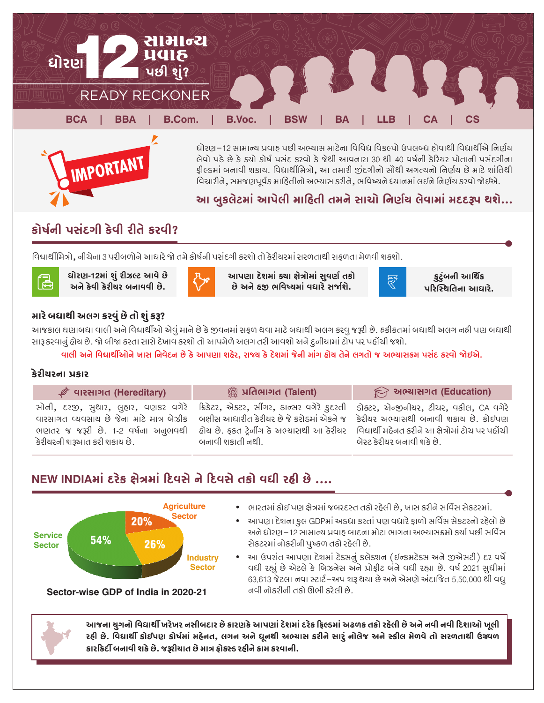

દ્યોરણ–12 સામાન્ય પ્રવાઠ પછી અભ્યાસ માટેના વિવિદ્ય વિકલ્પો ઉપલબ્દ્ય ઠોવાથી વિદ્યાર્થીએ નિર્ણય લેવો પડે છે કે ક્યો કોર્ષ પસંદ કરવો કે જેથી આવનારા 30 થી 40 વર્ષની કેરિયર પોતાની પસંદગીના ફીલ્ડમાં બનાવી શકાય. વિદ્યાર્થીમિત્રો, આ તમારી જીંદગીનો સૌથી અગત્યનો નિર્ણય છે માટે શાંતિથી વિચારીને, સમજણપૂર્વક માહિતીનો અભ્યાસ કરીને, ભવિષ્યને ધ્યાનમાં લઈને નિર્ણય કરવો જોઈએ.

# આ બુકલેટમાં આપેલી માહિતી તમને સાચો નિર્ણય લેવામાં મદદરૂપ થશે...

# કોર્ષની પસંદગી કેવી રીતે કરવી?

IMPORTANT

વિદ્યાર્થીમિત્રો, નીચેના 3 પરીબળોને આધારે જો તમે કોર્ષની પસંદગી કરશો તો કેરીચરમાં સરળતાથી સકળતા મેળવી શકશો.



કુટુંબની આર્થિક પરિસ્થિતિના આધારે.



આપણા દેશમાં કચા ક્ષેત્રોમાં સુવર્ણ તકો છે અને હજી ભવિષ્યમાં વધારે સર્જાશે.



આજકાલ ઘણાબધા વાલી અને વિદ્યાર્થીઓ એવું માને છે કે જીવનમાં સફળ થવા માટે બધાથી અલગ કરવુ જરૂરી છે. હકીકતમાં બધાથી અલગ નહી પણ બધાથી સારૂ કરવાનું હોય છે. જો બીજા કરતા સારો દેખાવ કરશો તો આપમેળે અલગ તરી આવશો અને દુનીચામાં ટોપ પર પહોંચી જશો.

વાલી અને વિદ્યાર્થીઓને ખાસ નિવેદન છે કે આપણા શહેર, રાજ્ય કે દેશમાં જેની માંગ હોય તેને લગતો જ અભ્યાસક્રમ પસંદ કરવો જોઈએ.

### કેરીચરના પ્રકાર

(a

| $\mathcal{P}$ વારસાગત (Hereditary)                                                                                                                                                            | <sup>જી</sup> પ્રતિભાગત (Talent)                                                                                   | $\widehat{\mathbb{R}}$ અભ્યાસગત (Education)                                                                                                            |
|-----------------------------------------------------------------------------------------------------------------------------------------------------------------------------------------------|--------------------------------------------------------------------------------------------------------------------|--------------------------------------------------------------------------------------------------------------------------------------------------------|
| વારસાગત વ્યવસાય છે જેના માટે માત્ર બેઝીક બક્ષીસ આધારીત કેરીયર છે જે કરોડમાં એકને જ કેરીયર અભ્યાસથી બનાવી શકાય છે. કોઈપણ<br>ભણતર જ જરૂરી છે. 1-2 વર્ષના અનુભવથી<br>કેરીયરની શરૂઆત કરી શકાય છે. | હોય છે. ફકત ટ્રેનીંગ કે અભ્યાસથી આ કેરીયર   વિદ્યાર્થી મહેનત કરીને આ ક્ષેત્રોમાં ટોચ પર પહોંચી<br>બનાવી શકાતી નથી. | સોની, દરજી, સુથાર, લુહાર, વણકર વગેરે ક્રિકેટર, એક્ટર, સીંગર, ડાન્સર વગેરે કુદરતી ડોક્ટર, એન્જીનીયર, ટીચર, વકીલ, CA વગેરે<br>બેસ્ટ કેરીચર બનાવી શકે છે. |

# NEW INDIAમાં દરેક ક્ષેત્રમાં દિવસે ને દિવસે તકો વધી રહી છે ....



ભારતમાં કોઈ પણ ક્ષેત્રમાં જબરદસ્ત તકો રહેલી છે. ખાસ કરીને સર્વિસ સેકટરમાં.

- આપણા દેશના કુલ GDPમાં અડધા કરતાં પણ વધારે ફાળો સર્વિસ સેકટરનો રહેલો છે  $\bullet$ અને ધોરણ–12 સામાન્ય પ્રવાહ બાદના મોટા ભાગના અભ્યાસક્રમો કર્યા પછી સર્વિસ સેકટરમાં નોકરીની પુષ્કળ તકો રહેલી છે.
- આ ઉપરાંત આપણા દેશમાં ટેક્સનું કલેક્શન (ઈન્કમટેક્સ અને જીએસટી) દર વર્ષે વધી રહ્યું છે એટલે કે બિઝનેસ અને પ્રોફીટ બંને વધી રહ્યા છે. વર્ષ 2021 સુધીમાં 63,613 જેટલા નવા સ્ટાર્ટ–અપ શરૂ થયા છે અને એમણે અંદાજિત 5,50,000 થી વધુ નવી નોકરીની તકો ઊભી કરેલી છે.

Sector-wise GDP of India in 2020-21

આજના ચુગનો વિદ્યાર્થી ખરેખર નસીબદાર છે કારણકે આપણાં દેશમાં દરેક ફિલ્ડમાં અઢળક તકો રહેલી છે અને નવી નવી દિશાઓ ખૂલી રહી છે. વિદ્યાર્થી કોઈપણ કોર્ષમાં મહેનત, લગન અને ધનથી અભ્યાસ કરીને સારં નોલેજ અને સ્કીલ મેળવે તો સરળતાથી ઉચ્ર્વળ કારકિર્દી બનાવી શકે છે. જરૂરીચાત છે માત્ર ફોક્સ્ડ રહીને કામ કરવાની.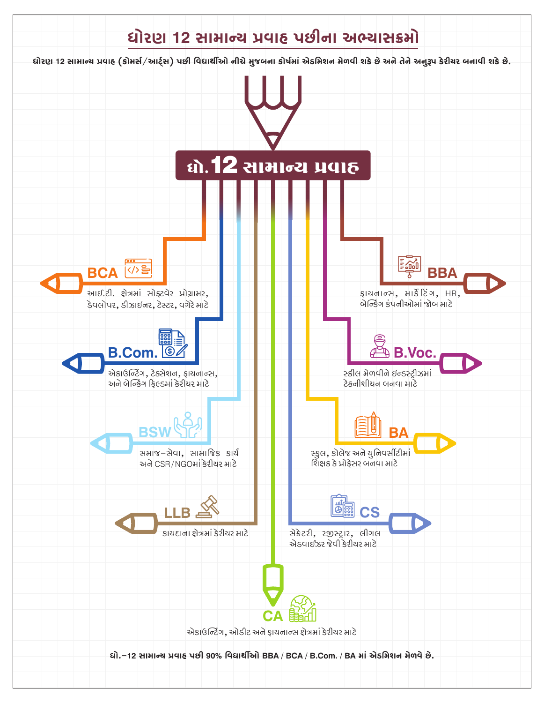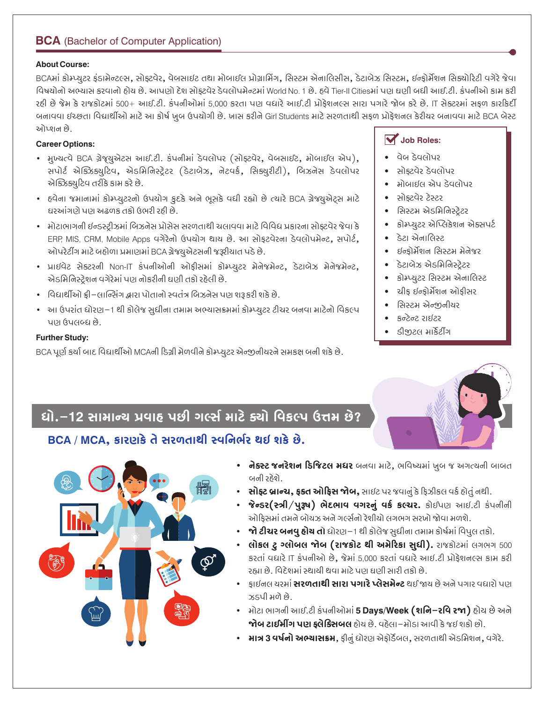# **BCA** (Bachelor of Computer Application)

#### **About Course:**

BCAમાં કોમ્પ્યુટર ફંડામેન્ટલ્સ, સોફ્ટવેર, વેબસાઈટ તથા મોબાઈલ પ્રોગ્રામિંગ, સિસ્ટમ એનાલિસીસ, ડેટાબેઝ સિસ્ટમ, ઈન્ફોર્મેશન સિક્યોરિટી વગેરે જેવા વિષયોનો અભ્યાસ કરવાનો હોય છે. આપણો દેશ સોક્ટવેર ડેવલોપમેન્ટમાં World No. 1 છે. હવે Tier-Il Citiesમાં પણ ઘણી બધી આઈ.ટી. કંપનીઓ કામ કરી રહી છે જેમ કે રાજકોટમાં 500+ આઈ.ટી. કંપનીઓમાં 5,000 કરતા પણ વધારે આઈ.ટી પ્રોફેશનલ્સ સારા પગારે જોબ કરે છે. IT સેક્ટરમાં સફળ કારકિર્દી બનાવવા ઈચ્છતા વિદ્યાર્થીઓ માટે આ કોર્ષ ખુબ ઉપયોગી છે. ખાસ કરીને Girl Students માટે સરળતાથી સફળ પ્રોફેશનલ કેરીચર બનાવવા માટે BCA બેસ્ટ ઓપ્શન છે.

#### **Career Options:**

- મુખ્યત્વે BCA ગ્રેજ્યુએટસ આઈ.ટી. કંપનીમાં ડેવલોપર (સોફટવેર, વેબસાઈટ, મોબાઈલ એપ), સપોર્ટ એક્ઝિક્યુટિવ, એડમિનિસ્ટ્રેટર (ડેટાબેઝ, નેટવર્ક, સિક્યુરીટી), બિઝનેસ ડેવલોપર એક્ઝિક્યુટિવ તરીકે કામ કરે છે.
- હવેના જમાનામાં કોમ્પ્યુટરનો ઉપયોગ કુદકે અને ભૂસકે વધી રહ્યો છે ત્યારે BCA ગ્રેજયુએટ્સ માટે ઘરઆંગણે પણ અઢળક તકો ઉભરી રહી છે.
- મોટાભાગની ઈન્ડસ્ટીઝમાં બિઝનેસ પ્રોસેસ સરળતાથી ચલાવવા માટે વિવિધ પ્રકારના સોક્ટવેર જેવા કે ERP, MIS, CRM, Mobile Apps વગેરેનો ઉપયોગ થાય છે. આ સોફટવેરના ડેવલોપમેન્ટ, સપોર્ટ, ઓપરેટીંગ માટે બહોળા પ્રમાણમાં BCA ગ્રેજ્યુએટસની જરૂરીયાત પડે છે.
- પ્રાઈવેટ સેક્ટરની Non-IT કંપનીઓની ઓફીસમાં કોમ્પ્યુટર મેનેજમેન્ટ, ડેટાબેઝ મેનેજમેન્ટ, એડમિનિસ્ટેશન વગેરેમાં પણ નોકરીની ઘણી તકો રહેલી છે.
- વિદ્યાર્થીઓ ફ્રી–લાન્સિંગ દ્વારા પોતાનો સ્વતંત્ર બિઝનેસ પણ શરૂ કરી શકે છે.
- આ ઉપરાંત ધોરણ–1 થી કોલેજ સુધીના તમામ અભ્યાસક્રમમાં કોમ્પ્યુટર ટીચર બનવા માટેનો વિકલ્પ પણ ઉપલબ્ધ છે.

#### **Further Study:**

BCA પૂર્ણ કર્યા બાદ વિદ્યાર્થીઓ MCAની ડિગ્રી મેળવીને કોમ્પ્યુટર એન્જીનીયરને સમકક્ષ બની શકે છે.

# $\overline{\mathbf{V}}$  Job Roles:

- ા વેબ ડેવલોપર
- સોક્ટવેર ડેવલોપર
- મોબાઈલ એપ ડેવલોપર
- સોકટવેર ટેસ્ટર
- સિસ્ટમ એડમિનિસ્ટેટર
- કોમ્પ્યુટર એપ્લિકેશન એક્સપર્ટ
- ડેટા એનાલિસ્ટ
- દ્યવ્હોર્મેશન સિસ્ટમ મેનેજર
- ડેટાબેઝ એડમિનિસ્ટ્રેટર
- કોમ્પ્યુટર સિસ્ટમ એનાલિસ્ટ
- ચીક ઈન્કોર્મેશન ઓકીસર
- સિસ્ટમ એન્જીનીયર
- $5315.505$
- ટીજીટલ માર્કેટીંગ

# ધો.–12 સામાન્ય પ્રવાહ પછી ગર્લ્સ માટે ક્યો વિકલ્પ ઉત્તમ છે?

# BCA / MCA, કારણકે તે સરળતાથી સ્વનિર્ભર થઈ શકે છે.



- નેક્સ્ટ જનરેશન ડિજિટલ મધર બનવા માટે, ભવિષ્યમાં ખુબ જ અગત્યની બાબત બની રહેશે.
- સોફ્ટ બ્રાન્ચ, ફક્ત ઓફિસ જોબ, સાઈટ પર જવાનું કે ફિઝીકલ વર્ક હોતું નથી.
- જેન્ડર(સ્ત્રી/પરૂષ) ભેદભાવ વગરનું વર્ક કલ્ચર. કોઈપણ આઈ.ટી કંપનીની ઓફિસમાં તમને બોયઝ અને ગર્લ્સનો રેશીયો લગભગ સરખો જોવા મળશે.
- જો ટીચર બનવુ હોય તો ઘોરણ–1 થી કોલેજ સુધીના તમામ કોર્ષમાં વિપુલ તકો.
- લોકલ ટુ ગ્લોબલ જોબ (રાજકોટ થી અમેરિકા સુધી). રાજકોટમાં લગભગ 500 કરતાં વધારે IT કંપનીઓ છે, જેમાં 5,000 કરતાં વધારે આઈ.ટી પ્રોફેશનલ્સ કામ કરી રહ્યા છે. વિદેશમાં સ્થાયી થવા માટે પણ ઘણી સારી તકો છે.
- કાઈનલ ચરમાં **સરળતાથી સારા પગારે પ્લેસમેન્ટ** થઈ જાય છે અને પગાર વધારો પણ ઝડપી મળે છે.
- મોટા ભાગની આઈ.ટી કંપનીઓમાં **5 Days/Week (શનિ–રવિ રજા)** હોય છે અને **જોબ ટાઈમીંગ પણ ફ્લેક્સિબલ** હોય છે. વહેલા–મોડા આવી કે જઈ શકો છો.
- માત્ર 3 વર્ષનો અભ્યાસક્રમ, ફીનું ધોરણ એફોર્ડેબલ, સરળતાથી એડમિશન, વગેરે.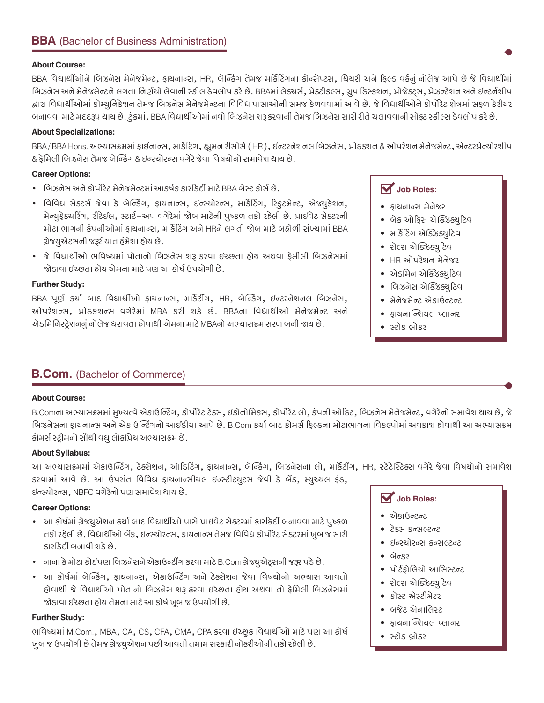# **BBA** (Bachelor of Business Administration)

#### **About Course:**

BBA વિદ્યાર્થીઓને બિઝનેસ મેનેજમેન્ટ, ફાયનાન્સ, HR, બેન્કિંગ તેમજ માર્કેટિંગના કોન્સેપ્ટસ, થિયરી અને ફિલ્ડ વર્કનું નોલેજ આપે છે જે વિદ્યાર્થીમાં બિઝનેસ અને મેનેજમેન્ટને લગતા નિર્ણયો લેવાની સ્કીલ ડેવલોપ કરે છે. BBAમાં લેક્ચર્સ, પ્રેકટીકલ્સ, ગ્રૂપ ડિસ્કશન, પ્રોજેક્ટ્સ, પ્રેઝન્ટેશન અને ઈન્ટર્નશીપ દ્વારા વિદ્યાર્થીઓમાં કોમ્યુનિકેશન તેમજ બિઝનેસ મેનેજમેન્ટના વિવિધ પાસાઓની સમજ કેળવવામાં આવે છે. જે વિદ્યાર્થીઓને કોર્પોરેટ ક્ષેત્રમાં સફળ કેરીચર બનાવવા માટે મદદરૂપ થાય છે. ટુંકમાં, BBA વિદ્યાર્થીઓમાં નવો બિઝનેસ શરૂ કરવાની તેમજ બિઝનેસ સારી રીતે ચલાવવાની સોફ્ટ સ્કીલ્સ ડેવલોપ કરે છે.

#### **About Specializations:**

BBA/BBAHons. અભ્યાસક્રમમાં ફાઈનાન્સ, માર્કેટિંગ, હ્યુમન રીસોર્સ (HR), ઈન્ટરનેશનલ બિઝનેસ, પ્રોડક્શન & ઓપરેશન મેનેજમેન્ટ, એન્ટરપ્રેન્ચોરશીપ & ફેમિલી બિઝનેસ તેમજ બેન્કિંગ & ઈન્સ્ચોરન્સ વગેરે જેવા વિષયોનો સમાવેશ થાય છે.

#### **Career Options:**

- બિઝનેસ અને કોર્પોરેટ મેનેજમેન્ટમાં આકર્ષક કારકિર્દી માટે BBA બેસ્ટ કોર્સ છે.
- વિવિધ સેક્ટર્સ જેવા કે બેન્કિંગ, ફાયનાન્સ, ઇન્સ્યોરન્સ, માર્કેટિંગ, રિફ્રુટમેન્ટ, એજયુકેશન, મેન્યુફેક્ચરિંગ, રીટેઈલ, સ્ટાર્ટ-અપ વગેરેમાં જોબ માટેની પુષ્કળ તકો રહેલી છે. પ્રાઈવેટ સેક્ટરની મોટા ભાગની કંપનીઓમાં કાયનાન્સ, માર્કેટિંગ અને HRને લગતી જોબ માટે બહોળી સંખ્યામાં BBA ગ્રેજયુએટસની જરૂરીયાત હંમેશા હોય છે.
- જે વિદ્યાર્થીઓ ભવિષ્યમાં પોતાનો બિઝનેસ શરૂ કરવા ઈચ્છતા હોય અથવા ફેમીલી બિઝનેસમાં જોડાવા ઈચ્છતા હોય એમના માટે પણ આ કોર્ષ ઉપયોગી છે.

#### **Further Study:**

BBA પૂર્ણ કર્યા બાદ વિદ્યાર્થીઓ ફાયનાન્સ, માર્કેટીંગ, HR, બેન્કિંગ, ઈન્ટરનેશનલ બિઝનેસ, ઓપરેશન્સ, પ્રોડકશન્સ વગેરેમાં MBA કરી શકે છે. BBAના વિદ્યાર્થીઓ મેનેજમેન્ટ અને એડમિનિસ્ટ્રેશનનું નોલેજ ધરાવતા હોવાથી એમના માટે MBAનો અભ્યાસક્રમ સરળ બની જાય છે.

### $\overline{\mathbf{V}}$  Job Roles:

- डायनान्स भेनेश्वर
- બેક ઓકિસ એક્ઝિક્યટિવ
- માર્કેટિંગ એક્ઝિક્યુટિવ
- સેલ્સ એક્ઝિક્યુટિવ
- HR ઓપરેશન મેનેજર
- એડમિન એક્ઝિક્યુટિવ
- બિઝનેસ એક્ઝિક્યુટિવ
- मेनेश्नोन्ट એકાઉન્ટન્ટ
- કાયનાન્શિયલ પ્લાનર
- સ્ટોક બ્રોકર

#### **B.Com.** (Bachelor of Commerce)

#### **About Course:**

B.Comના અભ્યાસક્રમમાં મુખ્યત્વે એકાઉન્ટિંગ, કોર્પોરેટ ટેક્સ, ઇકોનોમિકસ, કોર્પોરેટ લો, કંપની ઓડિટ, બિઝનેસ મેનેજમેન્ટ, વગેરેનો સમાવેશ થાય છે, જે બિઝનેસના ફાયનાન્સ અને એકાઉન્ટિંગનો આઈડીયા આપે છે. B.Com કર્યા બાદ કોમર્સ ફિલ્ડના મોટાભાગના વિકલ્પોમાં અવકાશ હોવાથી આ અભ્યાસક્રમ કોમર્સ સ્ટ્રીમનો સૌથી વધુ લોકપ્રિય અભ્યાસક્રમ છે.

#### **About Syllabus:**

આ અભ્યાસક્રમમાં એકાઉન્ટિંગ, ટેક્સેશન, ઑડિટિંગ, ફાયનાન્સ, બેન્કિંગ, બિઝનેસના લો, માર્કેટીંગ, HR, સ્ટેટેસ્ટિક્સ વગેરે જેવા વિષયોનો સમાવેશ કરવામાં આવે છે. આ ઉપરાંત વિવિધ ફાયનાન્સીયલ ઇન્સ્ટીટયૂટસ જેવી કે બેંક, મ્યુચ્ચલ ફંડ, ઈન્સ્યોરન્સ, NBFC વગેરેનો પણ સમાવેશ થાય છે.

#### **Career Options:**

- આ કોર્ષમાં ગ્રેજયુએશન કર્યા બાદ વિદ્યાર્થીઓ પાસે પ્રાઈવેટ સેક્ટરમાં કારકિર્દી બનાવવા માટે પુષ્કળ તકો રહેલી છે. વિદ્યાર્થીઓ બેંક, ઈન્સ્યોરન્સ, ફાયનાન્સ તેમજ વિવિદ્ય કોર્પોરેટ સેક્ટરમાં ખુબ જ સારી કારકિર્દી બનાવી શકે છે.
- નાના કે મોટા કોઈપણ બિઝનેસને એકાઉન્ટીંગ કરવા માટે B.Com ગ્રેજયુએટ્સની જરૂર પડે છે.
- આ કોર્ષમાં બેન્કિંગ, કાયનાન્સ, એકાઉન્ટિંગ અને ટેક્સેશન જેવા વિષયોનો અભ્યાસ આવતો હોવાથી જે વિદ્યાર્થીઓ પોતાનો બિઝનેસ શરૂ કરવા ઈચ્છતા હોય અથવા તો કેમિલી બિઝનેસમાં જોડાવા ઈચ્છતા હોય તેમના માટે આ કોર્ષ ખૂબ જ ઉપયોગી છે.

#### **Further Study:**

ભવિષ્યમાં M.Com., MBA, CA, CS, CFA, CMA, CPA કરવા ઈચ્છુક વિદ્યાર્થીઓ માટે પણ આ કોર્ષ ખુબ જ ઉપયોગી છે તેમજ ગ્રેજ્યુએશન પછી આવતી તમામ સરકારી નોકરીઓની તકો રહેલી છે.

## $\overline{\mathbf{V}}$  Job Roles:

- એકાઉન્ટન્ટ
- ∙ ટેક્સ કન્સલ્ટન્ટ
- र्धन्स्योरन्स डन्सल्टन्ट
- $\overline{\phantom{a}}$
- પોર્ટકોલિયો આસિસ્ટન્ટ
- સેલ્સ એક્ઝિક્યુટિવ
- डोस्ट એस्टीमेंटर
- બજેટ એનાલિસ્ટ
- કાયનાન્શિયલ પ્લાનર
- સ્ટોક બ્રોકર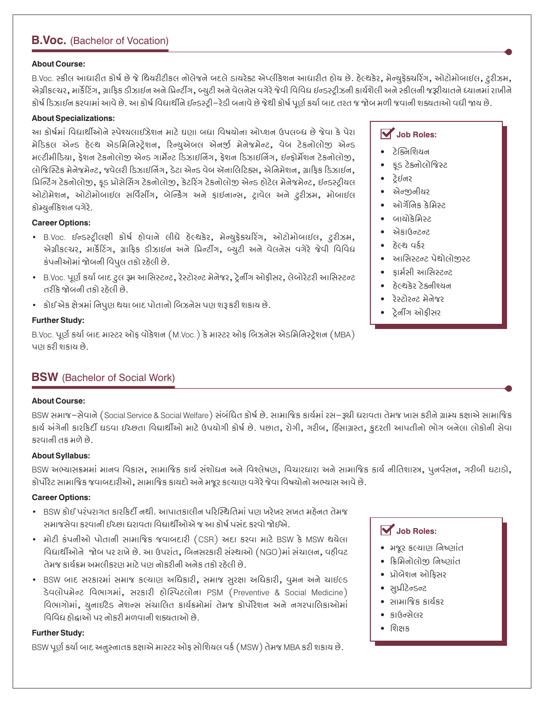# **B.Voc.** (Bachelor of Vocation)

#### **About Course:**

B.Voc. સ્કીલ આધારીત કોર્ષ છે જે થિયરીટીકલ નોલેજને બદલે ડાયરેક્ટ એપ્લીકેશન આધારીત હોય છે. હેલ્થકેર, મેન્યુફેક્ચરિંગ, ઓટોમોબાઈલ, ટ્રરીઝમ, એગ્રીકલ્ચર, માર્કેટિંગ, ગ્રાફિક ડીઝાઈન અને પ્રિન્ટીંગ, બ્યુટી અને વેલનેસ વગેરે જેવી વિવિધ ઈન્ડસ્ટ્રીઝની કાર્યશૈલી અને સ્કીલની જરૂરીયાતને ધ્યાનમાં રાખીને કોર્ષ ડિઝાઈન કરવામાં આવે છે. આ કોર્ષ વિદ્યાર્થીને ઈન્ડસ્ટ્રી–રેડી બનાવે છે જેથી કોર્ષ પૂર્ણ કર્યા બાદ તરત જ જોબ મળી જવાની શક્યતાઓ વધી જાય છે.

#### **About Specializations:**

આ કોર્ષમાં વિદ્યાર્થીઓને સ્પેશ્ચલાઈઝેશન માટે ઘણા બધા વિષયોના ઓપ્શન ઉપલબ્ધ છે જેવા કે પેરા मेडिइલ એન્ડ हेલ्थ એડમિનિસ્ટેશન, રિન્ચએબલ એનર્જી મેનેજમેન્ટ, વેબ ટેકનોલોજી એન્ડ મલ્ટીમીડિયા, ફેશન ટેકનોલોજી એન્ડ ગાર્મેન્ટ ડિઝાઈનિંગ, ફેશન ડિઝાઈનિંગ, ઈન્ફોર્મેશન ટેકનોલોજી, લોજિસ્ટિક મેનેજમેન્ટ, જવેલરી ડિઝાઈનિંગ, ડેટા એન્ડ વેબ ઍનાલિટિક્સ, એનિમેશન, ગ્રાકિક ડિઝાઈન, પ્રિન્ટિંગ ટેકનોલોજી, કડ પ્રોસેસિંગ ટેકનોલોજી, કેટરિંગ ટેકનોલોજી એન્ડ હોટેલ મેનેજમેન્ટ, ઈન્ડસ્ટીચલ ઓટોમેશન, ઓટોમોબાઈલ સર્વિસીંગ, બેન્કિંગ અને ફાઈનાન્સ, ટ્રાવેલ અને ટૂરીઝમ, મોબાઈલ કોમ્યુનીકેશન વગેરે.

#### **Career Options:**

- B.Voc. ઈન્ડસ્ટ્રીલક્ષી કોર્ષ હોવાને લીધે હેલ્થકેર, મેન્યુફેક્ચરિંગ, ઓટોમોબાઈલ, ટ્રરીઝમ, એગ્રીકલ્ચર, માર્કેટિંગ, ગ્રાફિક ડીઝાઈન અને પ્રિન્ટીંગ, બ્યૂટી અને વેલનેસ વગેરે જેવી વિવિધ કંપનીઓમાં જોબની વિપલ તકો રહેલી છે.
- B.Voc. પૂર્ણ કર્યા બાદ ટુલ રૂમ આસિસ્ટન્ટ, રેસ્ટોરન્ટ મેનેજર, ટ્રેનીંગ ઓફીસર, લેબોરેટરી આસિસ્ટન્ટ તરીકે જોબની તકો રહેલી છે.
- કોઈ એક ક્ષેત્રમાં નિપુણ થયા બાદ પોતાનો બિઝનેસ પણ શરૂ કરી શકાય છે.

#### **Further Study:**

B.Voc. પૂર્ણ કર્યા બાદ માસ્ટર ઓક વોકેશન (M.Voc.) કે માસ્ટર ઓક બિઝનેસ એડમિનિસ્ટેશન (MBA) પાગ કરી શકાય છે.

# **BSW** (Bachelor of Social Work)

#### **About Course:**

BSW સમાજ–સેવાને (Social Service & Social Welfare) સંબંધિત કોર્ષ છે. સામાજિક કાર્યમાં રસ–રૂચી ધરાવતા તેમજ ખાસ કરીને ગ્રામ્ય કક્ષાએ સામાજિક કાર્ય અંગેની કારકિર્દી ઘડવા ઈચ્છતા વિદ્યાર્થીઓ માટે ઉપયોગી કોર્ષ છે. પછાત, રોગી, ગરીબ, દિંસાગ્રસ્ત, કુદરતી આપતીનો ભોગ બનેલા લોકોની સેવા કરવાની તક મળે છે.

#### **About Syllabus:**

BSW અભ્યાસક્રમમાં માનવ વિકાસ, સામાજિક કાર્ય સંશોધન અને વિશ્લેષણ, વિચારધારા અને સામાજિક કાર્ય નીતિશાસ્ત્ર, પુનર્વસન, ગરીબી ઘટાડો, કોર્પોરેટ સામાજિક જવાબદારીઓ, સામાજિક કાયદો અને મજૂર કલ્યાણ વગેરે જેવા વિષયોનો અભ્યાસ આવે છે.

#### **Career Options:**

- BSW કોઈ પરંપરાગત કારકિર્દી નથી. આપાતકાલીન પરિસ્થિતિમાં પણ ખરેખર સખત મહેનત તેમજ સમાજસેવા કરવાની ઈચ્છા ધરાવતા વિદ્યાર્થીઓએ જ આ કોર્ષ પસંદ કરવો જોઈએ.
- મોટી કંપનીઓ પોતાની સામાજિક જવાબદારી (CSR) અદા કરવા માટે BSW કે MSW થયેલા વિદ્યાર્થીઓને જોબ પર રાખે છે. આ ઉપરાંત, બિનસરકારી સંસ્થાઓ (NGO)માં સંચાલન, વઠીવટ પુત્ર કાર્યક્રમ અમલીકરાગ માટે પાગ બોકરીબી અબેક તકો રઠેલી છે.
- BSW બાદ સરકારમાં સમાજ કલ્યાણ અધિકારી, સમાજ સુરક્ષા અધિકારી, વુમન અને ચાઈલ્ડ ડેવલોપમેન્ટ વિભાગમાં, સરકારી હોસ્પિટલોના PSM (Preventive & Social Medicine) વિભાગોમાં, ચુનાઈટેડ નેશન્સ સંચાલિત કાર્યક્રમોમાં તેમજ કોર્પોરેશન અને નગરપાલિકાઓમાં વિવિધ ઇોક્ષાઓ પર બોકરી મળવાની શક્યતાઓ છે

#### **Further Studv:**

BSW પૂર્ણ કર્યા બાદ અનુસ્નાતક કક્ષાએ માસ્ટર ઓફ સોશિયલ વર્ક (MSW) તેમજ MBA કરી શકાય છે.

# **V** Job Roles:

- રે જ્નિશિયન
- ફડ ટેક્નોલોજિસ્ટ  $\bullet$
- ट्रेर्शनर
- $\bullet$  એન્જીનીયર
- ઓગ્રॅનિક ક્રેમિસ્ટ
- બાચોકેમિસ્ટ  $\bullet$
- એકાઉન્ટન્ટ
- કેલ્શ વર્કર
- આસિસ્ટન્ટ પેથોલોજસ્ટ  $\bullet$
- કાર્મસી આસિસ્ટન્ટ
- हेલ्थेडेर टेडनीश्यन
- रेस्टोरन्ट भेजेश्वर
- ટેનીંગ ઓકીસર

# $\overrightarrow{M}$  Job Roles:

- भश्नर इत्याण निष्णांत
- ક્રિમિનોલોજી નિષ્ણાંત
- પ્રોબેશન ઓફિસર
- Sozosflkis .
- સામાજિક કાર્યકર
- ાર્ગલેન્ઝેલર
- $\bullet$  શિક્ષક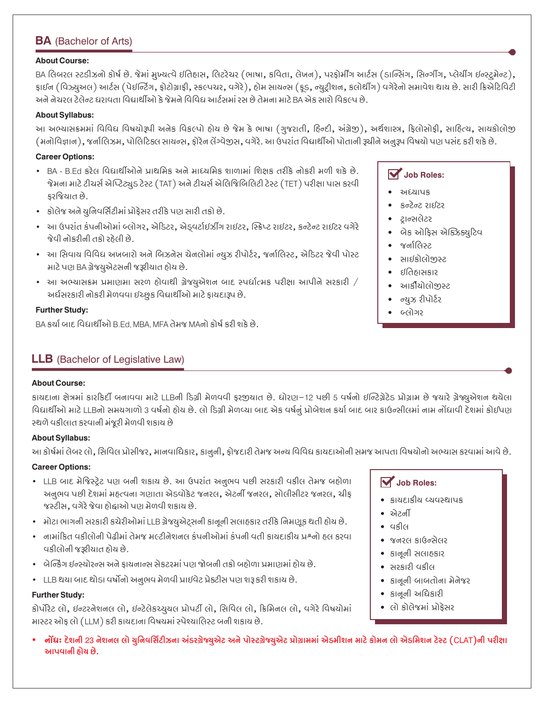# **BA** (Bachelor of Arts)

#### **About Course:**

BA લિબરલ સ્ટડીઝનો કોર્ષ છે. જેમાં મુખ્યત્વે ઇતિહાસ, લિટરેચર (ભાષા, કવિતા, લેખન), પરફોર્મીંગ આર્ટસ (ડાન્સિંગ, સિન્ગીંગ, પ્લેચીંગ ઇન્સ્ટ્રમેન્ટ), ફાઈન (વિઝ્યુઅલ) આર્ટસ (પેઈન્ટિંગ, ફોટોગ્રાફી, સ્કલ્પચર, વગેરે), હોમ સાયન્સ (ફડ, ન્યુટ્રીશન, કલોથીંગ) વગેરેનો સમાવેશ થાય છે. સારી ક્રિએટિવિટી અને નેચરલ ટેલેન્ટ ધરાવતા વિદ્યાર્થીઓ કે જેમને વિવિધ આર્ટસમાં રસ છે તેમના માટે BA એક સારો વિકલ્પ છે.

#### **About Syllabus:**

આ અભ્યાસક્રમમાં વિવિધ વિષયોરૂપી અનેક વિકલ્પો હોય છે જેમ કે ભાષા (ગુજરાતી, હિન્દી, અંગ્રેજી), અર્થશાસ્ત્ર, ફિલોસોફી, સાહિત્ય, સાયકોલોજી (મનોવિજ્ઞાન), જર્નાલિઝમ, પોલિટિકલ સાયન્સ, ફોરેન લેંગ્વેજીસ, વગેરે. આ ઉપરાંત વિદ્યાર્થીઓ પોતાની રૂચીને અનુરૂપ વિષયો પણ પસંદ કરી શકે છે.

#### **Career Options:**

- BA B.Ed કરેલ વિદ્યાર્થીઓને પ્રાથમિક અને માધ્યમિક શાળામાં શિક્ષક તરીકે નોકરી મળી શકે છે. જેમના માટે ટીચર્સ એપ્ટિટ્યુડ ટેસ્ટ (TAT) અને ટીચર્સ એલિજિબિલિટી ટેસ્ટ (TET) પરીક્ષા પાસ કરવી કરજિયાત છે.
- કોલેજ અને યુનિવર્સિટીમાં પ્રોફેસર તરીકે પણ સારી તકો છે.
- આ ઉપરાંત કંપનીઓમાં બ્લોગર, એડિટર, એડ્વર્ટાઇઝીંગ રાઈટર, સ્ક્રિપ્ટ રાઈટર, કન્ટેન્ટ રાઈટર વગેરે જેવી નોકરીની તકો રહેલી છે.
- આ સિવાય વિવિધ અખબારો અને બિઝનેસ ચેનલોમાં ન્યુઝ રીપોર્ટર, જર્નાલિસ્ટ, એડિટર જેવી પોસ્ટ માટે પણ BA ગ્રેજયુએટસની જરૂરીયાત હોય છે.
- આ અભ્યાસક્રમ પ્રમાણમા સરળ હોવાથી ગ્રેજ્યુએશન બાદ સ્પર્ધાત્મક પરીક્ષા આપીને સરકારી / અર્ધસરકારી નોકરી મેળવવા ઇચ્છુક વિદ્યાર્થીઓ માટે ફાયદારૂપ છે.

#### **Further Study:**

BA કર્યા બાદ વિદ્યાર્થીઓ B.Ed. MBA. MFA તેમજ MAનો કોર્ષ કરી શકે છે.

### **LLB** (Bachelor of Legislative Law)

#### **About Course:**

કાયદાના ક્ષેત્રમાં કારકિર્દી બનાવવા માટે LLBની ડિગ્રી મેળવવી ફરજીયાત છે. ધોરણ−12 પછી 5 વર્ષનો ઇન્ટિગ્રેટેડ પ્રોગ્રામ છે જયારે ગ્રેજ્યુએશન થયેલા વિદ્યાર્થીઓ માટે LLBનો સમયગાળો 3 વર્ષનો હોય છે. લો ડિગ્રી મેળવ્યા બાદ એક વર્ષનું પ્રોબેશન કર્યા બાદ બાર કાઉન્સીલમાં નામ નોંધાવી દેશમાં કોઈપણ સ્થળે વકીલાત કરવાની મંજૂરી મેળવી શકાય છે

#### **About Syllabus:**

આ કોર્ષમાં લેબર લો, સિવિલ પ્રોસીજર, માનવાધિકાર, કાનુની, ફોજદારી તેમજ અન્ય વિવિધ કાયદાઓની સમજ આપતા વિષયોનો અભ્યાસ કરવામાં આવે છે.

#### **Career Options:**

- LLB બાદ મેજિસ્ટ્રેટ પણ બની શકાય છે. આ ઉપરાંત અનુભવ પછી સરકારી વકીલ તેમજ બહોળા અનુભવ પછી દેશમાં મહ્ત્વના ગણાતા એડવોકેટ જનરલ, એટર્ની જનરલ, સોલીસીટર જનરલ, ચીફ જસ્ટીસ, વગેરે જેવા હોદ્ઘાઓ પણ મેળવી શકાય છે.
- મોટા ભાગની સરકારી કચેરીઓમાં LLB ગ્રેજ્યુએટ્સની કાનૂની સલાહકાર તરીકે નિમણૂક થતી હોય છે.
- નનામાંકિત વકીલોની પેઢીમાં તેમજ મલ્ટીનેશનલ કંપનીઓમાં કંપની વતી કાયદાકીય પ્રશ્નો હલ કરવા વકીલોની જરૂરીયાત હોય છે.
- બેન્કિંગ ઈન્સ્ચોરન્સ અને કાચનાન્સ સેકટરમાં પણ જોબની તકો બહોળા પ્રમાણમાં હોય છે.
- LLB થયા બાદ થોડા વર્ષોનો અનુભવ મેળવી પ્રાઈવેટ પ્રેક્ટીસ પણ શરૂ કરી શકાય છે.

#### **Further Study:**

કોર્પોરેટ લો, ઈન્ટરનેશનલ લો, ઈન્ટેલેકચ્યુચલ પ્રોપર્ટી લો, સિવિલ લો, ક્રિમિનલ લો, વગેરે વિષયોમાં માસ્ટર ઓફ લો (LLM) કરી કાયદાના વિષયમાં સ્પેશ્યાલિસ્ટ બની શકાય છે.

- **V** Job Roles:
	- અધ્યાપક
	- કન્ટેન્ટ રાઈટર
	- ટાન્સલેટર
	- બેક ઓફિસ એક્ઝિક્યુટિવ
	- જર્ભાલિસ્ટ
	- સાઈકોલોજીસ્ટ  $\bullet$
	- દાકાસકાર
	- આર્કીયોલોજીસ્ટ  $\bullet$
	- ન્ચઝ રીપોર્ટર  $\bullet$
	- બ્લોગર

- $\overline{\mathbf{V}}$  Job Roles:
- કાયદાકીય વ્યવસ્થાપક
- એટર્ની
- वश्चीत
- જનરલ કાઉન્સેલર
- डानूनी संसाहड़ार
- સરકારી વકીલ
- કાનૂની બાબતોના મેનેજર
- કાનૂની અધિકારી
- લો કોલેજમાં પ્રોફેસર
- ાનોંધઃ દેશની 23 નેશનલ લો ચુનિવર્સિટીઝના અંડરગ્રેજ્યુએટ અને પોસ્ટગ્રેજ્યુએટ પ્રોગ્રામમાં એડમીશન માટે કોમન લો એડમિશન ટેસ્ટ (CLAT)ની પરીક્ષા આપવાની ઠોચ છે.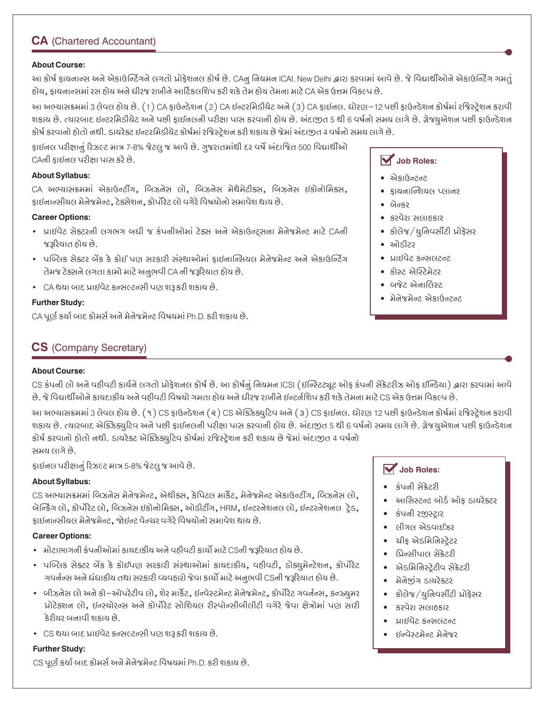# **CA** (Chartered Accountant)

#### **About Course:**

આ કોર્ષ ફાયનાન્સ અને એકાઉન્ટિંગને લગતો પ્રોફેશનલ કોર્ષ છે. CAનુ નિયમન ICAI, New Delhi દ્વારા કરવામાં આવે છે. જે વિદ્યાર્થીઓને એકાઉન્ટિંગ ગમતું હોય, કાયનાન્સમાં રસ હોય અને ધીરજ રાખીને આર્ટિકલશિપ કરી શકે તેમ હોય તેમના માટે CA એક ઉત્તમ વિકલ્પ છે.

આ અભ્યાસક્રમમાં 3 લેવલ હોય છે. (1) CA ફાઉન્ડેશન (2) CA ઈન્ટરમિડીચેટ અને (3) CA ફાઈનલ. ધોરણ–12 પછી ફાઉન્ડેશન કોર્ષમાં રજિસ્ટ્રેશન કરાવી શકાય છે. ત્યારબાદ ઈન્ટરમિડીયેટ અને પછી ફાઈનલની પરીક્ષા પાસ કરવાની હોય છે. અંદાજીત 5 થી 6 વર્ષનો સમય લાગે છે. ગ્રેજયુએશન પછી ફાઉન્ડેશન કોર્ષ કરવાનો હોતો નથી. ડાયરેક્ટ ઈન્ટરમિડીચેટ કોર્ષમાં રજિસ્ટ્રેશન કરી શકાય છે જેમાં અંદાજીત 4 વર્ષનો સમય લાગે છે.

ફાઈનલ પરીક્ષાનું રિઝલ્ટ માત્ર 7-8% જેટલુ જ આવે છે. ગુજરાતમાંથી દર વર્ષે અંદાજિત 500 વિદ્યાર્થીઓ CAની કાઈનલ પરીક્ષા પાસ કરે છે.

#### **About Syllabus:**

CA અભ્યાસક્રમમાં એકાઉન્ટીંગ, બિઝનેસ લો, બિઝનેસ મેથેમેટીક્સ, બિઝનેસ ઇકોનોમિક્સ, ફાઈનાન્સીયલ મેનેજમેન્ટ, ટેક્સેશન, કોર્પોરેટ લો વગેરે વિષયોનો સમાવેશ થાય છે.

#### **Career Options:**

- પ્રાઈવેટ સેક્ટરની લગભગ બધી જ કંપનીઓમાં ટેક્સ અને એકાઉન્ટ્સના મેનેજમેન્ટ માટે CAની જરૂરિયાત હોય છે.
- પબ્લિક સેક્ટર બેંક કે કોઈ પણ સરકારી સંસ્થાઓમાં કાઈનાન્સિયલ મેનેજમેન્ટ અને એકાઉન્ટિંગ તેમજ ટેક્સને લગતા કામો માટે અનુભવી CA ની જરૂરિયાત હોય છે.
- CA થયા બાદ પ્રાઈવેટ કન્સલ્ટન્સી પણ શરૂ કરી શકાય છે.

#### **Further Study:**

CA પૂર્ણ કર્યા બાદ કોમર્સ અને મેનેજમેન્ટ વિષયમાં Ph.D. કરી શકાય છે.

# **CS** (Company Secretary)

#### **About Course:**

CS કંપની લો અને વહીવટી કાર્યને લગતો પ્રોફેશનલ કોર્ષ છે. આ કોર્ષનું નિયમન ICSI (ઈન્સ્ટિટ્યૂટ ઓફ કંપની સેક્રેટરીઝ ઓફ ઈન્ડિયા) દ્વારા કરવામાં આવે છે. જે વિદ્યાર્થીઓને કાયદાકીય અને વહીવટી વિષયો ગમતા હોય અને ધીરજ રાખીને ઈન્ટર્નશિપ કરી શકે તેમના માટે CS એક ઉત્તમ વિકલ્પ છે.

આ અભ્યાસક્રમમાં 3 લેવલ હોય છે. (૧) CS ફાઉન્ડેશન (૨) CS એક્ઝિક્યુટિવ અને (૩) CS ફાઈનલ. ધોરણ 12 પછી ફાઉન્ડેશન કોર્ષમાં રજિસ્ટ્રેશન કરાવી શકાય છે. ત્યારબાદ એક્ઝિક્યુટિવ અને પછી ફાઈનલની પરીક્ષા પાસ કરવાની હોય છે. અંદાજીત 5 થી 6 વર્ષનો સમય લાગે છે. ગ્રેજચુએશન પછી ફાઉન્ડેશન કોર્ષ કરવાનો હોતો નથી. ડાયરેક્ટ એક્ઝિક્યુટિવ કોર્ષમાં રજિસ્ટ્રેશન કરી શકાય છે જેમાં અંદાજીત 4 વર્ષનો સમય લાગે છે.

ફાઈનલ પરીક્ષાનું રિઝલ્ટ માત્ર 5-8% જેટલુ જ આવે છે.

#### **About Syllabus:**

CS અભ્યાસક્રમમાં બિઝનેસ મેનેજમેન્ટ, એથીક્સ, કેપિટલ માર્કેટ, મેનેજમેન્ટ એકાઉન્ટીંગ, બિઝનેસ લો, બેન્કિંગ લો, કોર્પોરેટ લો, બિઝનેસ ઈકોનોમિક્સ, ઓડીટીંગ, HRM, ઈન્ટરનેશનલ લો, ઈન્ટરનેશનલ ટેડ, ફાઈનાન્સીચલ મેનેજમેન્ટ, જોઈન્ટ વેન્ચર વગેરે વિષયોનો સમાવેશ થાય છે.

#### **Career Options:**

- મોટાભાગની કંપનીઓમાં કાયદાકીય અને વહીવટી કાર્યો માટે CSની જરૂરિયાત હોય છે.
- પબ્લિક સેક્ટર બેંક કે કોઈપણ સરકારી સંસ્થાઓમાં કાયદાકીય, વઠીવટી, ડોક્યુમેન્ટેશન, કોર્પોરેટ ગવર્નન્સ અને ઘંઘાકીય તથા સરકારી વ્યવહારો જેવા કાર્યો માટે અનુભવી CSની જરૂરિયાત હોય છે.
- બીઝનેસ લો અને કો–ઓપરેટીવ લો. શેર માર્કેટ. ઈન્વેસ્ટમેન્ટ મેનેજમેન્ટ. કોર્પોરેટ ગવર્નન્સ. કન્ઝ્ચમર પ્રોટેક્શન લો, ઈન્સ્ચોરન્સ અને કોર્પોરેટ સોશિયલ રીસ્પોન્સીબીલીટી વગેરે જેવા ક્ષેત્રોમાં પણ સારી ક્રેરીચર બનાવી શકાય છે
- CS થયા બાદ પ્રાઈવેટ કન્સલ્ટન્સી પણ શરૂ કરી શકાય છે.

#### **Further Study:**

CS પૂર્ણ કર્યા બાદ કોમર્સ અને મેનેજમેન્ટ વિષયમાં Ph.D. કરી શકાય છે.

### $\overrightarrow{M}$  Job Roles:

- એકાઉન્ટન્ટ
- કાચનાન્શિયલ પ્લાનર
- $\bullet$   $\theta$ <sub> $\sigma$ </sub> $\circ$
- કરવેરા સલાહકાર
- કોલેજ/યુનિવર્સીટી પ્રોફેસર
- $\bullet$  ઓડીટર
- ∙ પ્રાઈવેટ કન્સલટન્ટ
- કોસ્ટ એસ્ટિમેટર
- બજેટ એનાલિસ્ટ
- मेनेश्नेन्ट એકાઉન્ટન્ટ

### $\overline{\mathbf{V}}$  Job Roles:

- કંપની સેક્રેટરી
- આસિસ્ટન્ટ બોર્ડ ઓફ ડાયરેક્ટર
- કંપની રજીસ્ટાર
- લીગલ એડવાઈઝર
- ચીક એડમિનિસ્ટેટર
- प्रिन्सीपाल सेफ्रेटरी
- એડમિનિસ્ટેટીવ સેક્રેટરી
- મેનેજીંગ ડાયરેક્ટર
- કોલેજ/યુનિવર્સીટી પ્રોફેસર
- કરવેરા સલાઠકાર
- પાઈવેટ કન્સલટન્ટ
- ઇન્વેસ્ટમેન્ટ મેનેજર